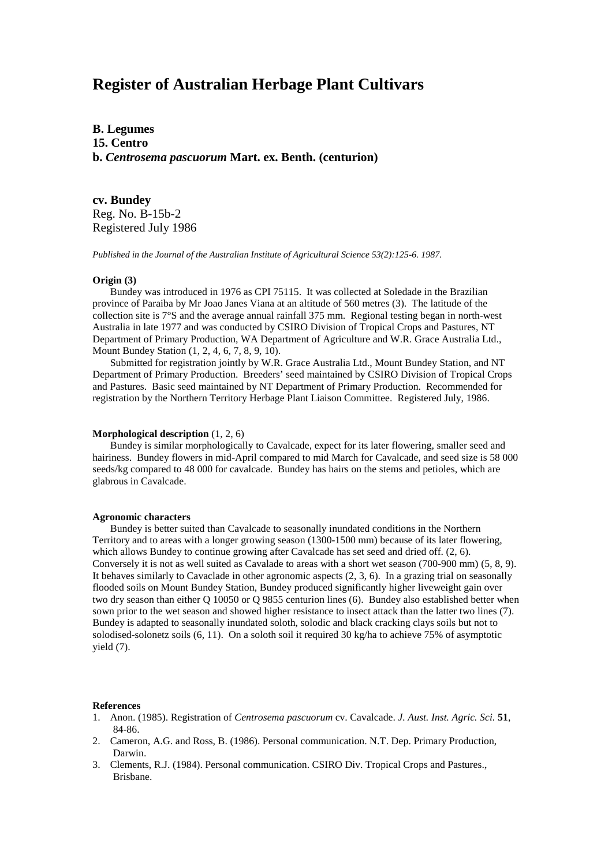# **Register of Australian Herbage Plant Cultivars**

**B. Legumes 15. Centro b.** *Centrosema pascuorum* **Mart. ex. Benth. (centurion)**

**cv. Bundey** Reg. No. B-15b-2 Registered July 1986

*Published in the Journal of the Australian Institute of Agricultural Science 53(2):125-6. 1987.*

## **Origin (3)**

Bundey was introduced in 1976 as CPI 75115. It was collected at Soledade in the Brazilian province of Paraiba by Mr Joao Janes Viana at an altitude of 560 metres (3). The latitude of the collection site is 7°S and the average annual rainfall 375 mm. Regional testing began in north-west Australia in late 1977 and was conducted by CSIRO Division of Tropical Crops and Pastures, NT Department of Primary Production, WA Department of Agriculture and W.R. Grace Australia Ltd., Mount Bundey Station (1, 2, 4, 6, 7, 8, 9, 10).

Submitted for registration jointly by W.R. Grace Australia Ltd., Mount Bundey Station, and NT Department of Primary Production. Breeders' seed maintained by CSIRO Division of Tropical Crops and Pastures. Basic seed maintained by NT Department of Primary Production. Recommended for registration by the Northern Territory Herbage Plant Liaison Committee. Registered July, 1986.

## **Morphological description** (1, 2, 6)

Bundey is similar morphologically to Cavalcade, expect for its later flowering, smaller seed and hairiness. Bundey flowers in mid-April compared to mid March for Cavalcade, and seed size is 58 000 seeds/kg compared to 48 000 for cavalcade. Bundey has hairs on the stems and petioles, which are glabrous in Cavalcade.

### **Agronomic characters**

Bundey is better suited than Cavalcade to seasonally inundated conditions in the Northern Territory and to areas with a longer growing season (1300-1500 mm) because of its later flowering, which allows Bundey to continue growing after Cavalcade has set seed and dried off. (2, 6). Conversely it is not as well suited as Cavalade to areas with a short wet season (700-900 mm) (5, 8, 9). It behaves similarly to Cavaclade in other agronomic aspects (2, 3, 6). In a grazing trial on seasonally flooded soils on Mount Bundey Station, Bundey produced significantly higher liveweight gain over two dry season than either Q 10050 or Q 9855 centurion lines (6). Bundey also established better when sown prior to the wet season and showed higher resistance to insect attack than the latter two lines (7). Bundey is adapted to seasonally inundated soloth, solodic and black cracking clays soils but not to solodised-solonetz soils (6, 11). On a soloth soil it required 30 kg/ha to achieve 75% of asymptotic yield (7).

#### **References**

- 1. Anon. (1985). Registration of *Centrosema pascuorum* cv. Cavalcade. *J. Aust. Inst. Agric. Sci.* **51**, 84-86.
- 2. Cameron, A.G. and Ross, B. (1986). Personal communication. N.T. Dep. Primary Production, Darwin.
- 3. Clements, R.J. (1984). Personal communication. CSIRO Div. Tropical Crops and Pastures., Brisbane.